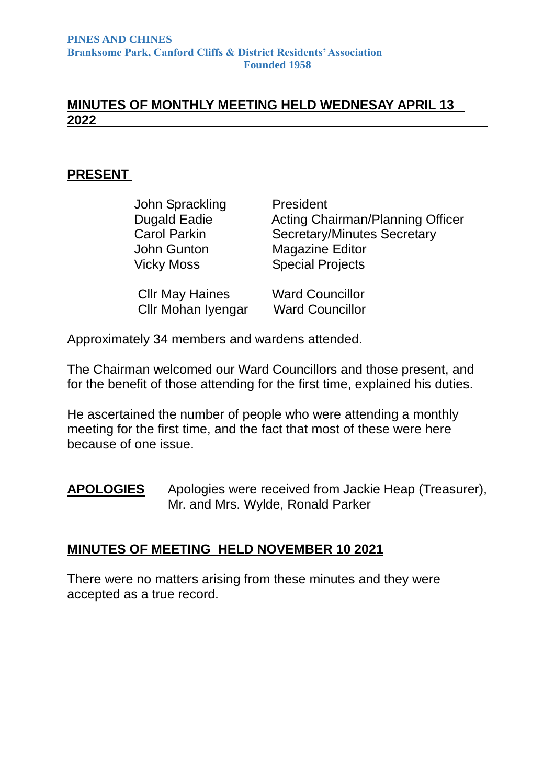#### **MINUTES OF MONTHLY MEETING HELD WEDNESAY APRIL 13 2022**

#### **PRESENT**

| John Sprackling           | President                          |
|---------------------------|------------------------------------|
| <b>Dugald Eadie</b>       | Acting Chairman/Planning Officer   |
| <b>Carol Parkin</b>       | <b>Secretary/Minutes Secretary</b> |
| John Gunton               | <b>Magazine Editor</b>             |
| <b>Vicky Moss</b>         | <b>Special Projects</b>            |
| <b>CIIr May Haines</b>    | <b>Ward Councillor</b>             |
| <b>Cllr Mohan Iyengar</b> | <b>Ward Councillor</b>             |

Approximately 34 members and wardens attended.

The Chairman welcomed our Ward Councillors and those present, and for the benefit of those attending for the first time, explained his duties.

He ascertained the number of people who were attending a monthly meeting for the first time, and the fact that most of these were here because of one issue.

#### **APOLOGIES** Apologies were received from Jackie Heap (Treasurer), Mr. and Mrs. Wylde, Ronald Parker

#### **MINUTES OF MEETING HELD NOVEMBER 10 2021**

There were no matters arising from these minutes and they were accepted as a true record.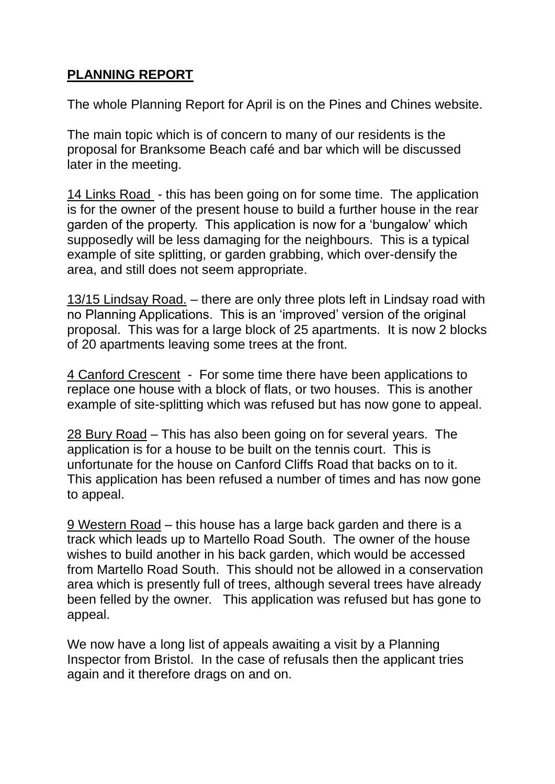# **PLANNING REPORT**

The whole Planning Report for April is on the Pines and Chines website.

The main topic which is of concern to many of our residents is the proposal for Branksome Beach café and bar which will be discussed later in the meeting.

14 Links Road - this has been going on for some time. The application is for the owner of the present house to build a further house in the rear garden of the property. This application is now for a 'bungalow' which supposedly will be less damaging for the neighbours. This is a typical example of site splitting, or garden grabbing, which over-densify the area, and still does not seem appropriate.

13/15 Lindsay Road. – there are only three plots left in Lindsay road with no Planning Applications. This is an 'improved' version of the original proposal. This was for a large block of 25 apartments. It is now 2 blocks of 20 apartments leaving some trees at the front.

4 Canford Crescent - For some time there have been applications to replace one house with a block of flats, or two houses. This is another example of site-splitting which was refused but has now gone to appeal.

28 Bury Road – This has also been going on for several years. The application is for a house to be built on the tennis court. This is unfortunate for the house on Canford Cliffs Road that backs on to it. This application has been refused a number of times and has now gone to appeal.

9 Western Road – this house has a large back garden and there is a track which leads up to Martello Road South. The owner of the house wishes to build another in his back garden, which would be accessed from Martello Road South. This should not be allowed in a conservation area which is presently full of trees, although several trees have already been felled by the owner. This application was refused but has gone to appeal.

We now have a long list of appeals awaiting a visit by a Planning Inspector from Bristol. In the case of refusals then the applicant tries again and it therefore drags on and on.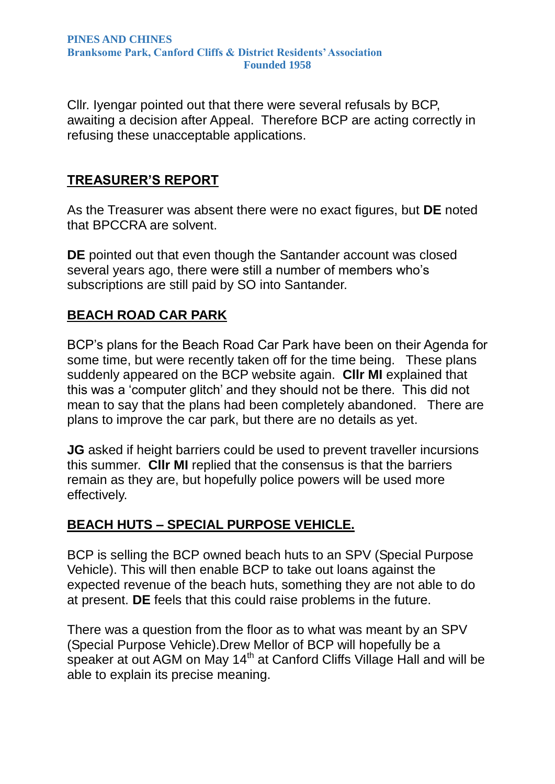Cllr. Iyengar pointed out that there were several refusals by BCP, awaiting a decision after Appeal. Therefore BCP are acting correctly in refusing these unacceptable applications.

### **TREASURER'S REPORT**

As the Treasurer was absent there were no exact figures, but **DE** noted that BPCCRA are solvent.

**DE** pointed out that even though the Santander account was closed several years ago, there were still a number of members who's subscriptions are still paid by SO into Santander.

#### **BEACH ROAD CAR PARK**

BCP's plans for the Beach Road Car Park have been on their Agenda for some time, but were recently taken off for the time being. These plans suddenly appeared on the BCP website again. **Cllr MI** explained that this was a 'computer glitch' and they should not be there. This did not mean to say that the plans had been completely abandoned. There are plans to improve the car park, but there are no details as yet.

**JG** asked if height barriers could be used to prevent traveller incursions this summer. **Cllr MI** replied that the consensus is that the barriers remain as they are, but hopefully police powers will be used more effectively.

### **BEACH HUTS – SPECIAL PURPOSE VEHICLE.**

BCP is selling the BCP owned beach huts to an SPV (Special Purpose Vehicle). This will then enable BCP to take out loans against the expected revenue of the beach huts, something they are not able to do at present. **DE** feels that this could raise problems in the future.

There was a question from the floor as to what was meant by an SPV (Special Purpose Vehicle).Drew Mellor of BCP will hopefully be a speaker at out AGM on May 14<sup>th</sup> at Canford Cliffs Village Hall and will be able to explain its precise meaning.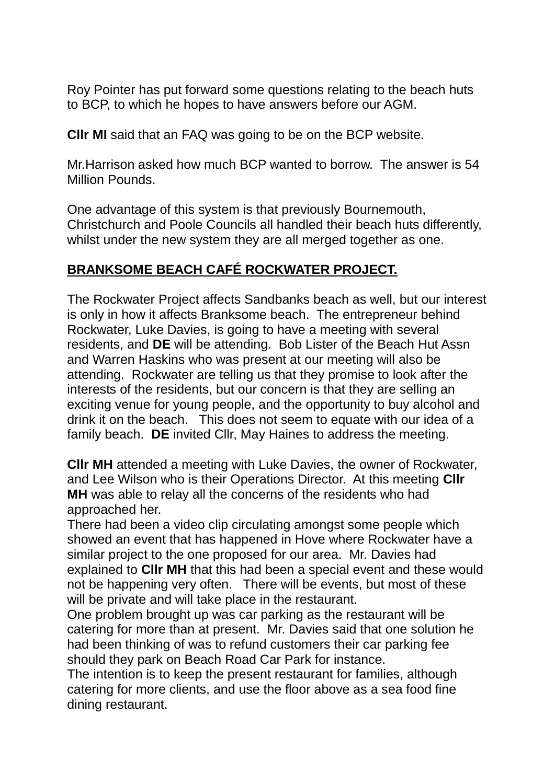Roy Pointer has put forward some questions relating to the beach huts to BCP, to which he hopes to have answers before our AGM.

**Cllr MI** said that an FAQ was going to be on the BCP website.

Mr.Harrison asked how much BCP wanted to borrow. The answer is 54 Million Pounds.

One advantage of this system is that previously Bournemouth, Christchurch and Poole Councils all handled their beach huts differently, whilst under the new system they are all merged together as one.

## **BRANKSOME BEACH CAFÉ ROCKWATER PROJECT.**

The Rockwater Project affects Sandbanks beach as well, but our interest is only in how it affects Branksome beach. The entrepreneur behind Rockwater, Luke Davies, is going to have a meeting with several residents, and **DE** will be attending. Bob Lister of the Beach Hut Assn and Warren Haskins who was present at our meeting will also be attending. Rockwater are telling us that they promise to look after the interests of the residents, but our concern is that they are selling an exciting venue for young people, and the opportunity to buy alcohol and drink it on the beach. This does not seem to equate with our idea of a family beach. **DE** invited Cllr, May Haines to address the meeting.

**Cllr MH** attended a meeting with Luke Davies, the owner of Rockwater, and Lee Wilson who is their Operations Director. At this meeting **Cllr MH** was able to relay all the concerns of the residents who had approached her.

There had been a video clip circulating amongst some people which showed an event that has happened in Hove where Rockwater have a similar project to the one proposed for our area. Mr. Davies had explained to **Cllr MH** that this had been a special event and these would not be happening very often. There will be events, but most of these will be private and will take place in the restaurant.

One problem brought up was car parking as the restaurant will be catering for more than at present. Mr. Davies said that one solution he had been thinking of was to refund customers their car parking fee should they park on Beach Road Car Park for instance.

The intention is to keep the present restaurant for families, although catering for more clients, and use the floor above as a sea food fine dining restaurant.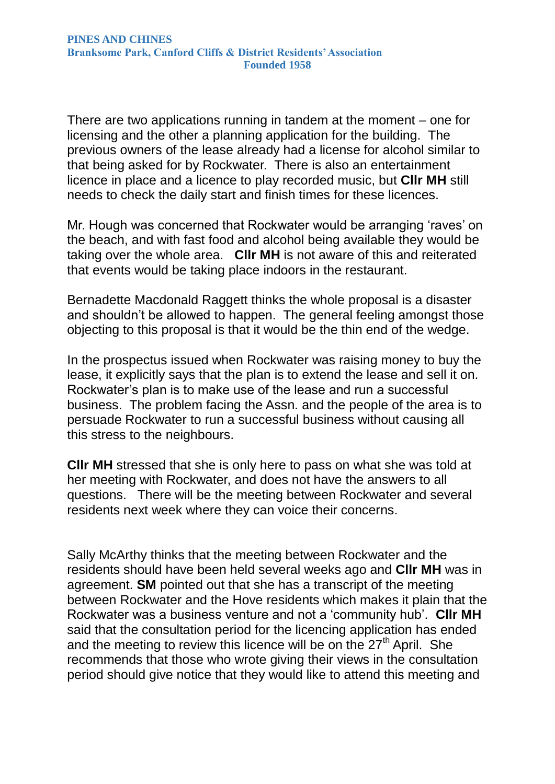There are two applications running in tandem at the moment – one for licensing and the other a planning application for the building. The previous owners of the lease already had a license for alcohol similar to that being asked for by Rockwater. There is also an entertainment licence in place and a licence to play recorded music, but **Cllr MH** still needs to check the daily start and finish times for these licences.

Mr. Hough was concerned that Rockwater would be arranging 'raves' on the beach, and with fast food and alcohol being available they would be taking over the whole area. **Cllr MH** is not aware of this and reiterated that events would be taking place indoors in the restaurant.

Bernadette Macdonald Raggett thinks the whole proposal is a disaster and shouldn't be allowed to happen. The general feeling amongst those objecting to this proposal is that it would be the thin end of the wedge.

In the prospectus issued when Rockwater was raising money to buy the lease, it explicitly says that the plan is to extend the lease and sell it on. Rockwater's plan is to make use of the lease and run a successful business. The problem facing the Assn. and the people of the area is to persuade Rockwater to run a successful business without causing all this stress to the neighbours.

**Cllr MH** stressed that she is only here to pass on what she was told at her meeting with Rockwater, and does not have the answers to all questions. There will be the meeting between Rockwater and several residents next week where they can voice their concerns.

Sally McArthy thinks that the meeting between Rockwater and the residents should have been held several weeks ago and **Cllr MH** was in agreement. **SM** pointed out that she has a transcript of the meeting between Rockwater and the Hove residents which makes it plain that the Rockwater was a business venture and not a 'community hub'. **Cllr MH** said that the consultation period for the licencing application has ended and the meeting to review this licence will be on the  $27<sup>th</sup>$  April. She recommends that those who wrote giving their views in the consultation period should give notice that they would like to attend this meeting and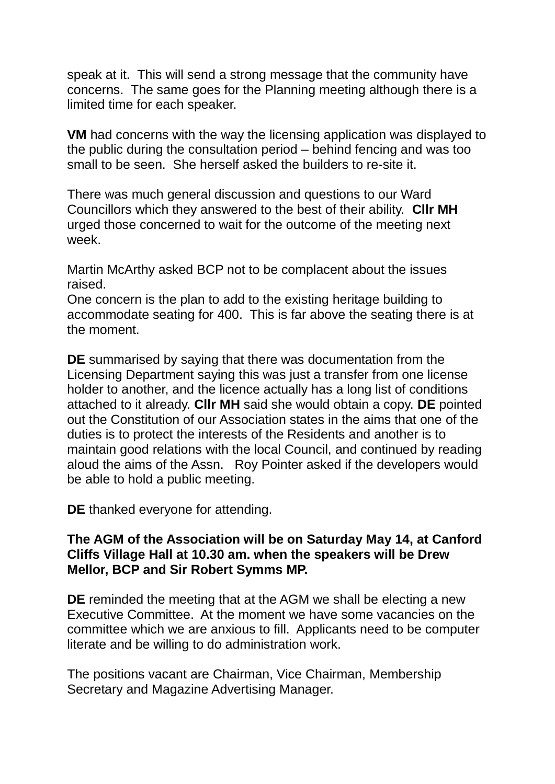speak at it. This will send a strong message that the community have concerns. The same goes for the Planning meeting although there is a limited time for each speaker.

**VM** had concerns with the way the licensing application was displayed to the public during the consultation period – behind fencing and was too small to be seen. She herself asked the builders to re-site it.

There was much general discussion and questions to our Ward Councillors which they answered to the best of their ability. **Cllr MH**  urged those concerned to wait for the outcome of the meeting next week.

Martin McArthy asked BCP not to be complacent about the issues raised.

One concern is the plan to add to the existing heritage building to accommodate seating for 400. This is far above the seating there is at the moment.

**DE** summarised by saying that there was documentation from the Licensing Department saying this was just a transfer from one license holder to another, and the licence actually has a long list of conditions attached to it already. **Cllr MH** said she would obtain a copy. **DE** pointed out the Constitution of our Association states in the aims that one of the duties is to protect the interests of the Residents and another is to maintain good relations with the local Council, and continued by reading aloud the aims of the Assn. Roy Pointer asked if the developers would be able to hold a public meeting.

**DE** thanked everyone for attending.

#### **The AGM of the Association will be on Saturday May 14, at Canford Cliffs Village Hall at 10.30 am. when the speakers will be Drew Mellor, BCP and Sir Robert Symms MP.**

**DE** reminded the meeting that at the AGM we shall be electing a new Executive Committee. At the moment we have some vacancies on the committee which we are anxious to fill. Applicants need to be computer literate and be willing to do administration work.

The positions vacant are Chairman, Vice Chairman, Membership Secretary and Magazine Advertising Manager.